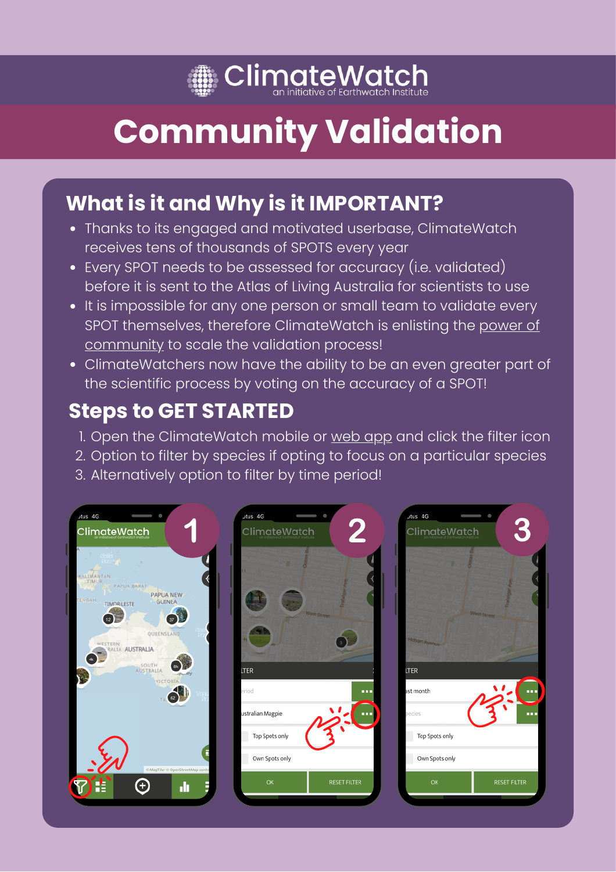

# **Community Validation**

### **What is it and Why is it IMPORTANT?**

- Thanks to its engaged and motivated userbase, ClimateWatch receives tens of thousands of SPOTS every year
- Every SPOT needs to be assessed for accuracy (i.e. validated) before it is sent to the Atlas of Living Australia for scientists to use
- It is impossible for any one person or small team to validate every SPOT themselves, therefore ClimateWatch is enlisting the power of community to scale the validation process!
- ClimateWatchers now have the ability to be an even greater part of the scientific process by voting on the accuracy of a SPOT!

### **Steps to GET STARTED**

- 1. Open the ClimateWatch mobile or <u>[web](https://www.climatewatch.org.au/map) app</u> and click the filter icon
- 2. Option to filter by species if opting to focus on a particular species
- Alternatively option to filter by time period! 3.

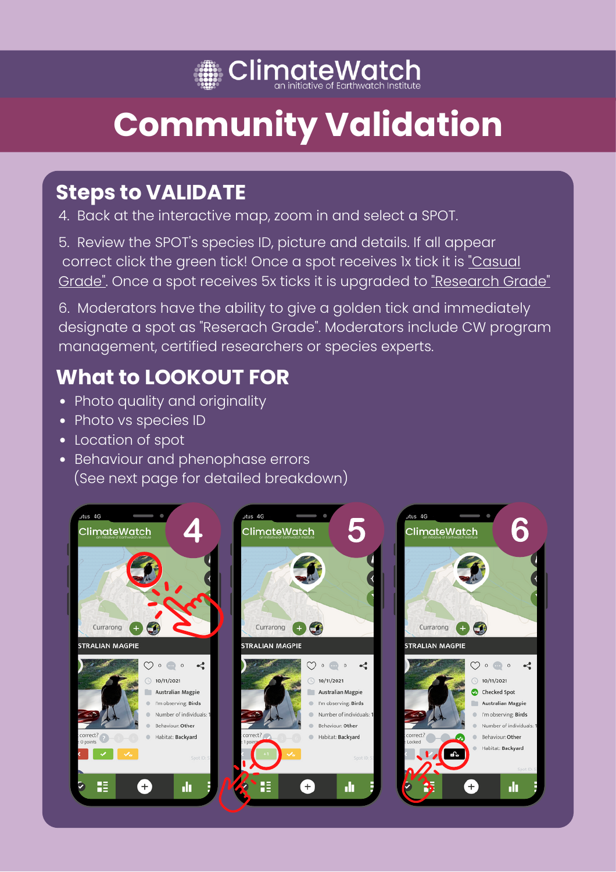## **SolimateWatch**

# **Community Validation**

## **Steps to VALIDATE**

4. Back at the interactive map, zoom in and select a SPOT.

5. Review the SPOT's species ID, picture and details. If all appear correct click the green tick! Once a spot receives 1x tick it is "Casual Grade". Once a spot receives 5x ticks it is upgraded to "Research Grade"

6. Moderators have the ability to give a golden tick and immediately designate a spot as "Reserach Grade". Moderators include CW program management, certified researchers or species experts.

## **What to LOOKOUT FOR**

- Photo quality and originality
- Photo vs species ID
- Location of spot
- Behaviour and phenophase errors (See next page for detailed breakdown)